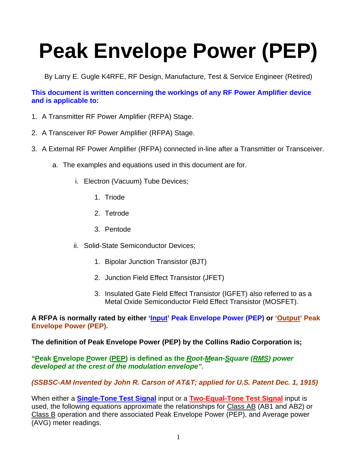## **Peak Envelope Power (PEP)**

By Larry E. Gugle K4RFE, RF Design, Manufacture, Test & Service Engineer (Retired)

**This document is written concerning the workings of any RF Power Amplifier device and is applicable to:** 

- 1. A Transmitter RF Power Amplifier (RFPA) Stage.
- 2. A Transceiver RF Power Amplifier (RFPA) Stage.
- 3. A External RF Power Amplifier (RFPA) connected in-line after a Transmitter or Transceiver.
	- a. The examples and equations used in this document are for.
		- i. Electron (Vacuum) Tube Devices;
			- 1. Triode
			- 2. Tetrode
			- 3. Pentode
		- ii. Solid-State Semiconductor Devices;
			- 1. Bipolar Junction Transistor (BJT)
			- 2. Junction Field Effect Transistor (JFET)
			- 3. Insulated Gate Field Effect Transistor (IGFET) also referred to as a Metal Oxide Semiconductor Field Effect Transistor (MOSFET).

**A RFPA is normally rated by either 'Input' Peak Envelope Power (PEP) or 'Output' Peak Envelope Power (PEP).** 

**The definition of Peak Envelope Power (PEP) by the Collins Radio Corporation is;** 

**"Peak Envelope Power (PEP) is defined as the** *Root-Mean-Square (RMS) power developed at the crest of the modulation envelope"***.** 

*(SSBSC-AM Invented by John R. Carson of AT&T; applied for U.S. Patent Dec. 1, 1915)* 

When either a **Single-Tone Test Signal** input or a **Two-Equal-Tone Test Signal** input is used, the following equations approximate the relationships for Class AB (AB1 and AB2) or Class B operation and there associated Peak Envelope Power (PEP), and Average power (AVG) meter readings.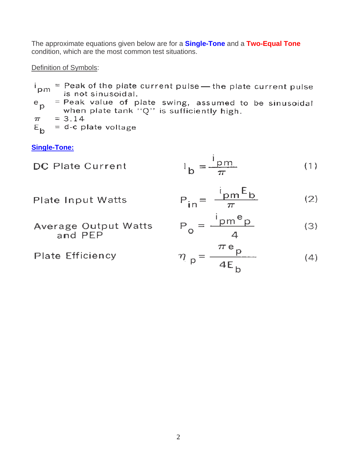The approximate equations given below are for a **Single-Tone** and a **Two-Equal Tone** condition, which are the most common test situations.

Definition of Symbols:

 $i_{pm}$  = Peak of the plate current pulse — the plate current pulse is not sinusoidal. = Peak value of plate swing, assumed to be sinusoidal  $e_{p}$ when plate tank "Q" is sufficiently high.  $= 3.14$  $\pi^ = d-c$  plate voltage  $E_{\mathbf{b}}$ 

**Single-Tone:**

$$
1_{\mathbf{b}} = \frac{1_{\mathbf{p}}}{\pi} \tag{1}
$$

Plate Input Watts

**DC Plate Current** 

$$
P_{in} = \frac{i_{pm}E_b}{\pi} \tag{2}
$$

Average Output Watts<br>and PEP

$$
P_o = \frac{i_{pm}e_p}{4} \tag{3}
$$

**Plate Efficiency** 

$$
\eta_{\text{p}} = \frac{\pi \mathbf{e}_{\text{p}}}{4E_{\text{b}}} \tag{4}
$$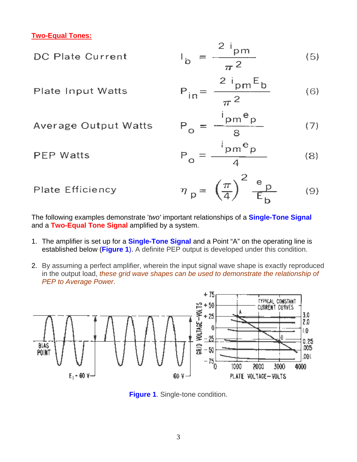**Two-Equal Tones:**

DC Plate Current 
$$
I_b = \frac{2 I_{pm}}{\pi^2}
$$
 (5)

$$
P_{\text{late Input Watts}} \qquad P_{\text{in}} = \frac{2 \text{ i}_{\text{pm}} E_{\text{b}}}{\pi^2} \qquad (6)
$$

**Average Output Watts** 

**PEP Watts** 

$$
P_o = \frac{-bm^e p}{8} \tag{7}
$$

$$
P_{\mathbf{O}} = \frac{P_{\mathbf{D}} \mathbf{m}^{\mathbf{C}} \mathbf{p}}{4} \tag{8}
$$

÷

**Plate Efficiency** 

 $\eta_p = \left(\frac{\pi}{4}\right)^2 \frac{e_p}{E_b}$  $(9)$ 

The following examples demonstrate '*two'* important relationships of a **Single-Tone Signal** and a **Two-Equal Tone Signal** amplified by a system.

- 1. The amplifier is set up for a **Single-Tone Signal** and a Point "A" on the operating line is established below (**Figure 1**). A definite PEP output is developed under this condition.
- 2. By assuming a perfect amplifier, wherein the input signal wave shape is exactly reproduced in the output load, *these grid wave shapes can be used to demonstrate the relationship of PEP to Average Power*.



**Figure 1**. Single-tone condition.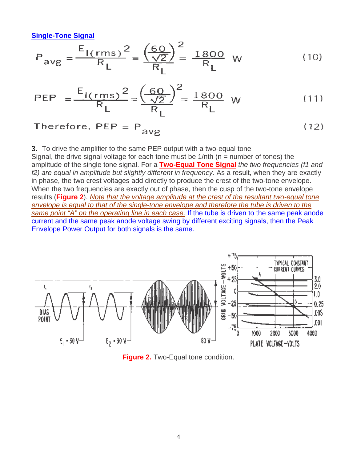**Single-Tone Signal**

$$
P_{avg} = \frac{E_{1(rms)}^2}{R_L} = \frac{\left(\frac{60}{\sqrt{2}}\right)^2}{R_L} = \frac{1800}{R_L} \quad W \tag{10}
$$

PEP = 
$$
\frac{E_{1(rms)}^2}{R_L} = \frac{\left(\frac{60}{\sqrt{2}}\right)^2}{R_L} = \frac{1800}{R_L}
$$
 W (11)

Therefore,  $PEP = P_{avg}$  $(12)$ 

3. To drive the amplifier to the same PEP output with a two-equal tone

Signal, the drive signal voltage for each tone must be  $1/nth$  (n = number of tones) the amplitude of the single tone signal. For a **Two-Equal Tone Signal** *the two frequencies (f1 and f2) are equal in amplitude but slightly different in frequency.* As a result, when they are exactly in phase, the two crest voltages add directly to produce the crest of the two-tone envelope. When the two frequencies are exactly out of phase, then the cusp of the two-tone envelope results (**Figure 2**). *Note that the voltage amplitude at the crest of the resultant two-equal tone envelope is equal to that of the single-tone envelope and therefore the tube is driven to the same point "A" on the operating line in each case.* If the tube is driven to the same peak anode current and the same peak anode voltage swing by different exciting signals, then the Peak Envelope Power Output for both signals is the same.



**Figure 2.** Two-Equal tone condition.